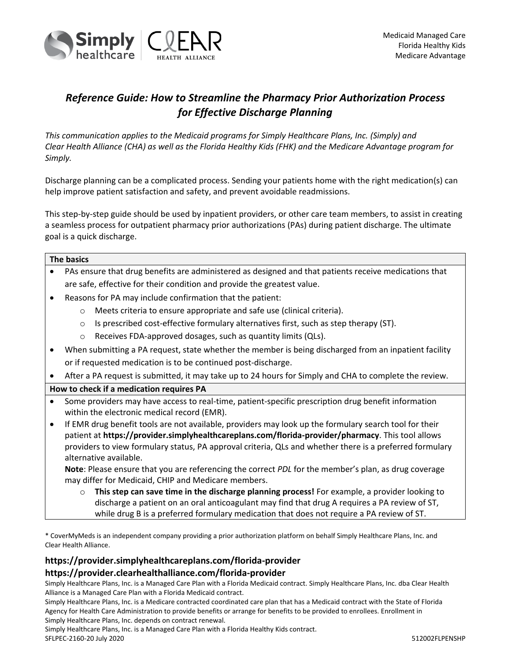

# *Reference Guide: How to Streamline the Pharmacy Prior Authorization Process for Effective Discharge Planning*

*This communication applies to the Medicaid programs for Simply Healthcare Plans, Inc. (Simply) and Clear Health Alliance (CHA) as well as the Florida Healthy Kids (FHK) and the Medicare Advantage program for Simply.*

Discharge planning can be a complicated process. Sending your patients home with the right medication(s) can help improve patient satisfaction and safety, and prevent avoidable readmissions.

This step-by-step guide should be used by inpatient providers, or other care team members, to assist in creating a seamless process for outpatient pharmacy prior authorizations (PAs) during patient discharge. The ultimate goal is a quick discharge.

#### **The basics**

- PAs ensure that drug benefits are administered as designed and that patients receive medications that are safe, effective for their condition and provide the greatest value.
- Reasons for PA may include confirmation that the patient:
	- o Meets criteria to ensure appropriate and safe use (clinical criteria).
	- $\circ$  Is prescribed cost-effective formulary alternatives first, such as step therapy (ST).
	- o Receives FDA-approved dosages, such as quantity limits (QLs).
- When submitting a PA request, state whether the member is being discharged from an inpatient facility or if requested medication is to be continued post-discharge.
- After a PA request is submitted, it may take up to 24 hours for Simply and CHA to complete the review.

### **How to check if a medication requires PA**

- Some providers may have access to real-time, patient-specific prescription drug benefit information within the electronic medical record (EMR).
- If EMR drug benefit tools are not available, providers may look up the formulary search tool for their patient at **https://provider.simplyhealthcareplans.com/florida-provider/pharmacy**. This tool allows providers to view formulary status, PA approval criteria, QLs and whether there is a preferred formulary alternative available.

**Note**: Please ensure that you are referencing the correct *PDL* for the member's plan, as drug coverage may differ for Medicaid, CHIP and Medicare members.

o **This step can save time in the discharge planning process!** For example, a provider looking to discharge a patient on an oral anticoagulant may find that drug A requires a PA review of ST, while drug B is a preferred formulary medication that does not require a PA review of ST.

\* CoverMyMeds is an independent company providing a prior authorization platform on behalf Simply Healthcare Plans, Inc. and Clear Health Alliance.

## **https://provider.simplyhealthcareplans.com/florida-provider https://provider.clearhealthalliance.com/florida-provider**

Simply Healthcare Plans, Inc. is a Managed Care Plan with a Florida Medicaid contract. Simply Healthcare Plans, Inc. dba Clear Health Alliance is a Managed Care Plan with a Florida Medicaid contract.

Simply Healthcare Plans, Inc. is a Medicare contracted coordinated care plan that has a Medicaid contract with the State of Florida Agency for Health Care Administration to provide benefits or arrange for benefits to be provided to enrollees. Enrollment in Simply Healthcare Plans, Inc. depends on contract renewal.

Simply Healthcare Plans, Inc. is a Managed Care Plan with a Florida Healthy Kids contract.

SFLPEC-2160-20 July 2020 512002FLPENSHP